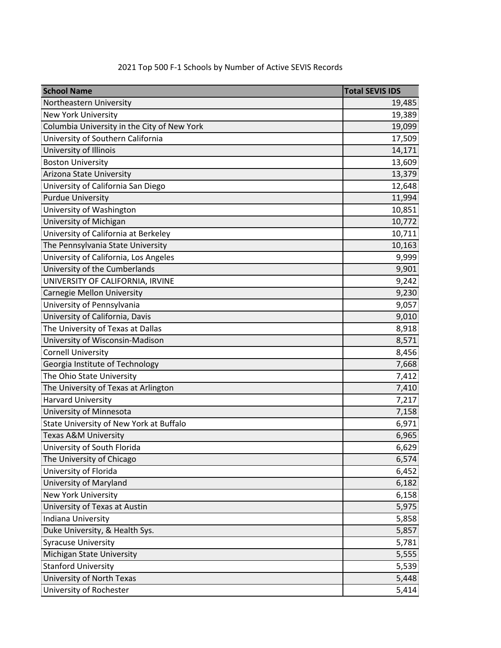| <b>School Name</b>                          | <b>Total SEVIS IDS</b> |
|---------------------------------------------|------------------------|
| Northeastern University                     | 19,485                 |
| <b>New York University</b>                  | 19,389                 |
| Columbia University in the City of New York | 19,099                 |
| University of Southern California           | 17,509                 |
| University of Illinois                      | 14,171                 |
| <b>Boston University</b>                    | 13,609                 |
| Arizona State University                    | 13,379                 |
| University of California San Diego          | 12,648                 |
| <b>Purdue University</b>                    | 11,994                 |
| University of Washington                    | 10,851                 |
| University of Michigan                      | 10,772                 |
| University of California at Berkeley        | 10,711                 |
| The Pennsylvania State University           | 10,163                 |
| University of California, Los Angeles       | 9,999                  |
| University of the Cumberlands               | 9,901                  |
| UNIVERSITY OF CALIFORNIA, IRVINE            | 9,242                  |
| <b>Carnegie Mellon University</b>           | 9,230                  |
| University of Pennsylvania                  | 9,057                  |
| University of California, Davis             | 9,010                  |
| The University of Texas at Dallas           | 8,918                  |
| University of Wisconsin-Madison             | 8,571                  |
| <b>Cornell University</b>                   | 8,456                  |
| Georgia Institute of Technology             | 7,668                  |
| The Ohio State University                   | 7,412                  |
| The University of Texas at Arlington        | 7,410                  |
| <b>Harvard University</b>                   | 7,217                  |
| University of Minnesota                     | 7,158                  |
| State University of New York at Buffalo     | 6,971                  |
| Texas A&M University                        | 6,965                  |
| University of South Florida                 | 6,629                  |
| The University of Chicago                   | 6,574                  |
| University of Florida                       | 6,452                  |
| University of Maryland                      | 6,182                  |
| <b>New York University</b>                  | 6,158                  |
| University of Texas at Austin               | 5,975                  |
| <b>Indiana University</b>                   | 5,858                  |
| Duke University, & Health Sys.              | 5,857                  |
| <b>Syracuse University</b>                  | 5,781                  |
| Michigan State University                   | 5,555                  |
| <b>Stanford University</b>                  | 5,539                  |
| University of North Texas                   | 5,448                  |
| University of Rochester                     | 5,414                  |

## 2021 Top 500 F-1 Schools by Number of Active SEVIS Records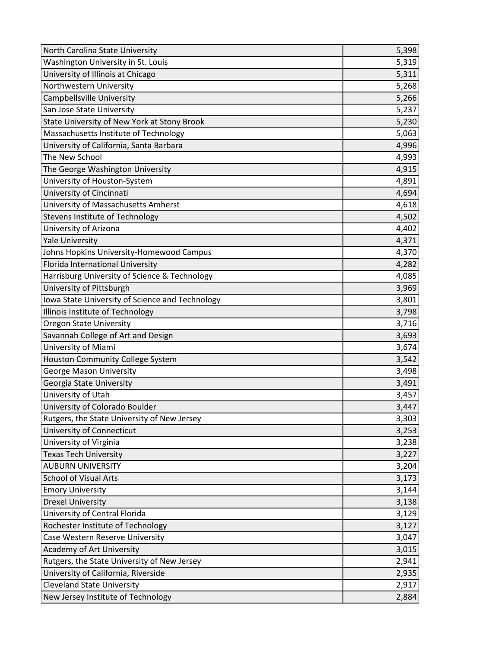| North Carolina State University                 | 5,398 |
|-------------------------------------------------|-------|
| Washington University in St. Louis              | 5,319 |
| University of Illinois at Chicago               | 5,311 |
| Northwestern University                         | 5,268 |
| Campbellsville University                       | 5,266 |
| San Jose State University                       | 5,237 |
| State University of New York at Stony Brook     | 5,230 |
| Massachusetts Institute of Technology           | 5,063 |
| University of California, Santa Barbara         | 4,996 |
| The New School                                  | 4,993 |
| The George Washington University                | 4,915 |
| University of Houston-System                    | 4,891 |
| University of Cincinnati                        | 4,694 |
| University of Massachusetts Amherst             | 4,618 |
| Stevens Institute of Technology                 | 4,502 |
| University of Arizona                           | 4,402 |
| <b>Yale University</b>                          | 4,371 |
| Johns Hopkins University-Homewood Campus        | 4,370 |
| Florida International University                | 4,282 |
| Harrisburg University of Science & Technology   | 4,085 |
| University of Pittsburgh                        | 3,969 |
| Iowa State University of Science and Technology | 3,801 |
| Illinois Institute of Technology                | 3,798 |
| <b>Oregon State University</b>                  | 3,716 |
| Savannah College of Art and Design              | 3,693 |
| University of Miami                             | 3,674 |
| Houston Community College System                | 3,542 |
| <b>George Mason University</b>                  | 3,498 |
| Georgia State University                        | 3,491 |
| University of Utah                              | 3,457 |
| University of Colorado Boulder                  | 3,447 |
| Rutgers, the State University of New Jersey     | 3,303 |
| University of Connecticut                       | 3,253 |
| University of Virginia                          | 3,238 |
| <b>Texas Tech University</b>                    | 3,227 |
| <b>AUBURN UNIVERSITY</b>                        | 3,204 |
| <b>School of Visual Arts</b>                    | 3,173 |
| <b>Emory University</b>                         | 3,144 |
| <b>Drexel University</b>                        | 3,138 |
| University of Central Florida                   | 3,129 |
| Rochester Institute of Technology               | 3,127 |
| Case Western Reserve University                 | 3,047 |
| Academy of Art University                       | 3,015 |
| Rutgers, the State University of New Jersey     | 2,941 |
| University of California, Riverside             | 2,935 |
| <b>Cleveland State University</b>               | 2,917 |
| New Jersey Institute of Technology              | 2,884 |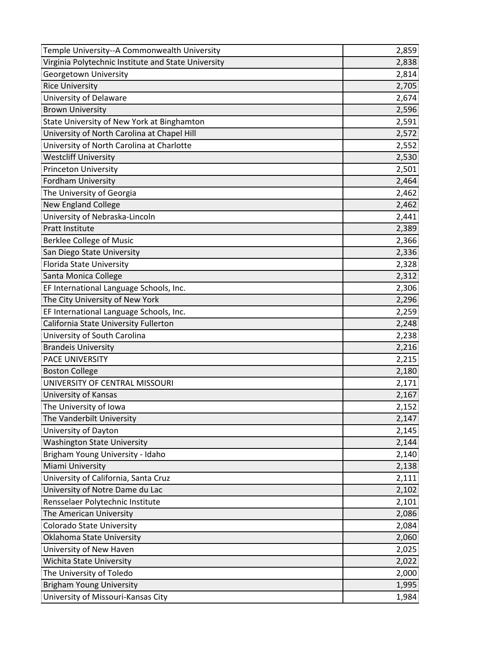| Temple University--A Commonwealth University        | 2,859 |
|-----------------------------------------------------|-------|
| Virginia Polytechnic Institute and State University | 2,838 |
| Georgetown University                               | 2,814 |
| <b>Rice University</b>                              | 2,705 |
| University of Delaware                              | 2,674 |
| <b>Brown University</b>                             | 2,596 |
| State University of New York at Binghamton          | 2,591 |
| University of North Carolina at Chapel Hill         | 2,572 |
| University of North Carolina at Charlotte           | 2,552 |
| <b>Westcliff University</b>                         | 2,530 |
| <b>Princeton University</b>                         | 2,501 |
| Fordham University                                  | 2,464 |
| The University of Georgia                           | 2,462 |
| <b>New England College</b>                          | 2,462 |
| University of Nebraska-Lincoln                      | 2,441 |
| Pratt Institute                                     | 2,389 |
| <b>Berklee College of Music</b>                     | 2,366 |
| San Diego State University                          | 2,336 |
| Florida State University                            | 2,328 |
| Santa Monica College                                | 2,312 |
| EF International Language Schools, Inc.             | 2,306 |
| The City University of New York                     | 2,296 |
| EF International Language Schools, Inc.             | 2,259 |
| California State University Fullerton               | 2,248 |
| University of South Carolina                        | 2,238 |
| <b>Brandeis University</b>                          | 2,216 |
| PACE UNIVERSITY                                     | 2,215 |
| <b>Boston College</b>                               | 2,180 |
| UNIVERSITY OF CENTRAL MISSOURI                      | 2,171 |
| University of Kansas                                | 2,167 |
| The University of Iowa                              | 2,152 |
| The Vanderbilt University                           | 2,147 |
| University of Dayton                                | 2,145 |
| <b>Washington State University</b>                  | 2,144 |
| Brigham Young University - Idaho                    | 2,140 |
| Miami University                                    | 2,138 |
| University of California, Santa Cruz                | 2,111 |
| University of Notre Dame du Lac                     | 2,102 |
| Rensselaer Polytechnic Institute                    | 2,101 |
| The American University                             | 2,086 |
| <b>Colorado State University</b>                    | 2,084 |
| Oklahoma State University                           | 2,060 |
| University of New Haven                             | 2,025 |
| Wichita State University                            | 2,022 |
| The University of Toledo                            | 2,000 |
| <b>Brigham Young University</b>                     | 1,995 |
| University of Missouri-Kansas City                  | 1,984 |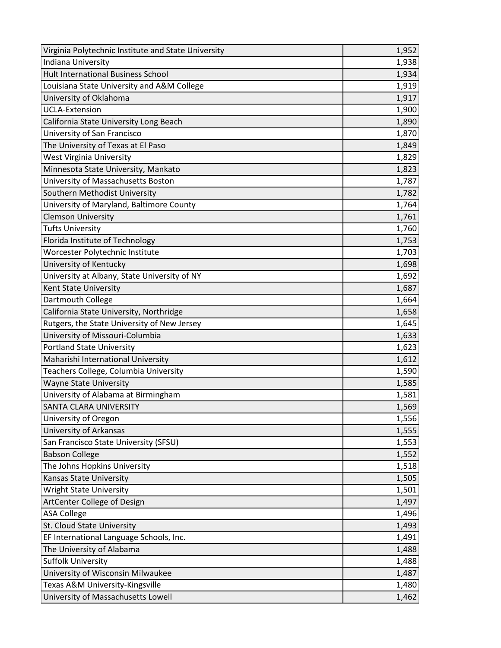| Virginia Polytechnic Institute and State University | 1,952 |
|-----------------------------------------------------|-------|
| Indiana University                                  | 1,938 |
| <b>Hult International Business School</b>           | 1,934 |
| Louisiana State University and A&M College          | 1,919 |
| University of Oklahoma                              | 1,917 |
| <b>UCLA-Extension</b>                               | 1,900 |
| California State University Long Beach              | 1,890 |
| University of San Francisco                         | 1,870 |
| The University of Texas at El Paso                  | 1,849 |
| <b>West Virginia University</b>                     | 1,829 |
| Minnesota State University, Mankato                 | 1,823 |
| University of Massachusetts Boston                  | 1,787 |
| Southern Methodist University                       | 1,782 |
| University of Maryland, Baltimore County            | 1,764 |
| <b>Clemson University</b>                           | 1,761 |
| <b>Tufts University</b>                             | 1,760 |
| Florida Institute of Technology                     | 1,753 |
| Worcester Polytechnic Institute                     | 1,703 |
| University of Kentucky                              | 1,698 |
| University at Albany, State University of NY        | 1,692 |
| Kent State University                               | 1,687 |
| Dartmouth College                                   | 1,664 |
| California State University, Northridge             | 1,658 |
| Rutgers, the State University of New Jersey         | 1,645 |
| University of Missouri-Columbia                     | 1,633 |
| <b>Portland State University</b>                    | 1,623 |
| Maharishi International University                  | 1,612 |
| Teachers College, Columbia University               | 1,590 |
| <b>Wayne State University</b>                       | 1,585 |
| University of Alabama at Birmingham                 | 1,581 |
| SANTA CLARA UNIVERSITY                              | 1,569 |
| University of Oregon                                | 1,556 |
| <b>University of Arkansas</b>                       | 1,555 |
| San Francisco State University (SFSU)               | 1,553 |
| <b>Babson College</b>                               | 1,552 |
| The Johns Hopkins University                        | 1,518 |
| Kansas State University                             | 1,505 |
| <b>Wright State University</b>                      | 1,501 |
| ArtCenter College of Design                         | 1,497 |
| <b>ASA College</b>                                  | 1,496 |
| St. Cloud State University                          | 1,493 |
| EF International Language Schools, Inc.             | 1,491 |
| The University of Alabama                           | 1,488 |
| <b>Suffolk University</b>                           | 1,488 |
| University of Wisconsin Milwaukee                   | 1,487 |
| Texas A&M University-Kingsville                     | 1,480 |
| University of Massachusetts Lowell                  | 1,462 |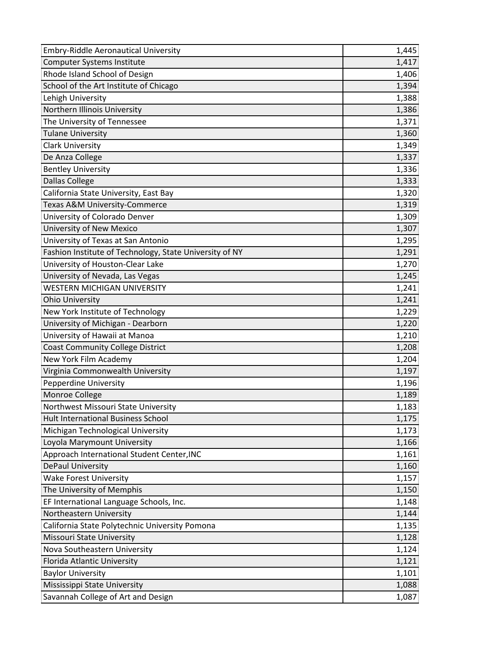| <b>Embry-Riddle Aeronautical University</b>             | 1,445 |
|---------------------------------------------------------|-------|
| <b>Computer Systems Institute</b>                       | 1,417 |
| Rhode Island School of Design                           | 1,406 |
| School of the Art Institute of Chicago                  | 1,394 |
| Lehigh University                                       | 1,388 |
| Northern Illinois University                            | 1,386 |
| The University of Tennessee                             | 1,371 |
| <b>Tulane University</b>                                | 1,360 |
| <b>Clark University</b>                                 | 1,349 |
| De Anza College                                         | 1,337 |
| <b>Bentley University</b>                               | 1,336 |
| <b>Dallas College</b>                                   | 1,333 |
| California State University, East Bay                   | 1,320 |
| Texas A&M University-Commerce                           | 1,319 |
| University of Colorado Denver                           | 1,309 |
| University of New Mexico                                | 1,307 |
| University of Texas at San Antonio                      | 1,295 |
| Fashion Institute of Technology, State University of NY | 1,291 |
| University of Houston-Clear Lake                        | 1,270 |
| University of Nevada, Las Vegas                         | 1,245 |
| <b>WESTERN MICHIGAN UNIVERSITY</b>                      | 1,241 |
| <b>Ohio University</b>                                  | 1,241 |
| New York Institute of Technology                        | 1,229 |
| University of Michigan - Dearborn                       | 1,220 |
| University of Hawaii at Manoa                           | 1,210 |
| <b>Coast Community College District</b>                 | 1,208 |
| New York Film Academy                                   | 1,204 |
| Virginia Commonwealth University                        | 1,197 |
| Pepperdine University                                   | 1,196 |
| Monroe College                                          | 1,189 |
| Northwest Missouri State University                     | 1,183 |
| Hult International Business School                      | 1,175 |
| Michigan Technological University                       | 1,173 |
| Loyola Marymount University                             | 1,166 |
| Approach International Student Center, INC              | 1,161 |
| <b>DePaul University</b>                                | 1,160 |
| <b>Wake Forest University</b>                           | 1,157 |
| The University of Memphis                               | 1,150 |
| EF International Language Schools, Inc.                 | 1,148 |
| Northeastern University                                 | 1,144 |
| California State Polytechnic University Pomona          | 1,135 |
| Missouri State University                               | 1,128 |
| Nova Southeastern University                            | 1,124 |
| Florida Atlantic University                             | 1,121 |
| <b>Baylor University</b>                                | 1,101 |
| Mississippi State University                            | 1,088 |
| Savannah College of Art and Design                      | 1,087 |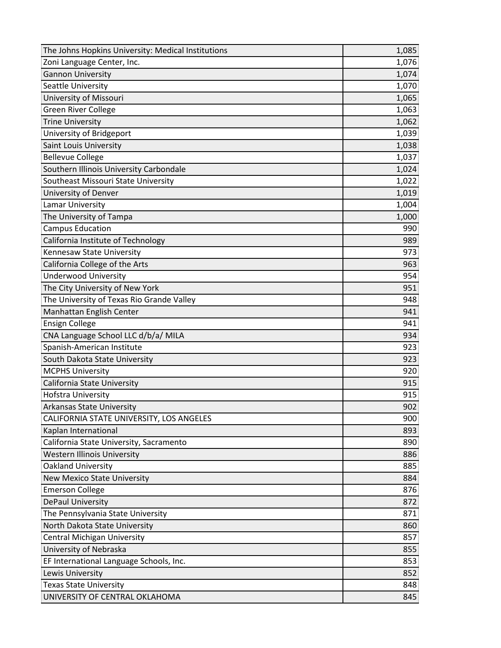| The Johns Hopkins University: Medical Institutions | 1,085 |
|----------------------------------------------------|-------|
| Zoni Language Center, Inc.                         | 1,076 |
| <b>Gannon University</b>                           | 1,074 |
| Seattle University                                 | 1,070 |
| University of Missouri                             | 1,065 |
| <b>Green River College</b>                         | 1,063 |
| <b>Trine University</b>                            | 1,062 |
| University of Bridgeport                           | 1,039 |
| Saint Louis University                             | 1,038 |
| <b>Bellevue College</b>                            | 1,037 |
| Southern Illinois University Carbondale            | 1,024 |
| Southeast Missouri State University                | 1,022 |
| University of Denver                               | 1,019 |
| Lamar University                                   | 1,004 |
| The University of Tampa                            | 1,000 |
| <b>Campus Education</b>                            | 990   |
| California Institute of Technology                 | 989   |
| Kennesaw State University                          | 973   |
| California College of the Arts                     | 963   |
| <b>Underwood University</b>                        | 954   |
| The City University of New York                    | 951   |
| The University of Texas Rio Grande Valley          | 948   |
| Manhattan English Center                           | 941   |
| <b>Ensign College</b>                              | 941   |
| CNA Language School LLC d/b/a/ MILA                | 934   |
| Spanish-American Institute                         | 923   |
| South Dakota State University                      | 923   |
| <b>MCPHS University</b>                            | 920   |
| California State University                        | 915   |
| <b>Hofstra University</b>                          | 915   |
| <b>Arkansas State University</b>                   | 902   |
| CALIFORNIA STATE UNIVERSITY, LOS ANGELES           | 900   |
| Kaplan International                               | 893   |
| California State University, Sacramento            | 890   |
| <b>Western Illinois University</b>                 | 886   |
| <b>Oakland University</b>                          | 885   |
| <b>New Mexico State University</b>                 | 884   |
| <b>Emerson College</b>                             | 876   |
| DePaul University                                  | 872   |
| The Pennsylvania State University                  | 871   |
| North Dakota State University                      | 860   |
| <b>Central Michigan University</b>                 | 857   |
| University of Nebraska                             | 855   |
| EF International Language Schools, Inc.            | 853   |
| Lewis University                                   | 852   |
| <b>Texas State University</b>                      | 848   |
| UNIVERSITY OF CENTRAL OKLAHOMA                     | 845   |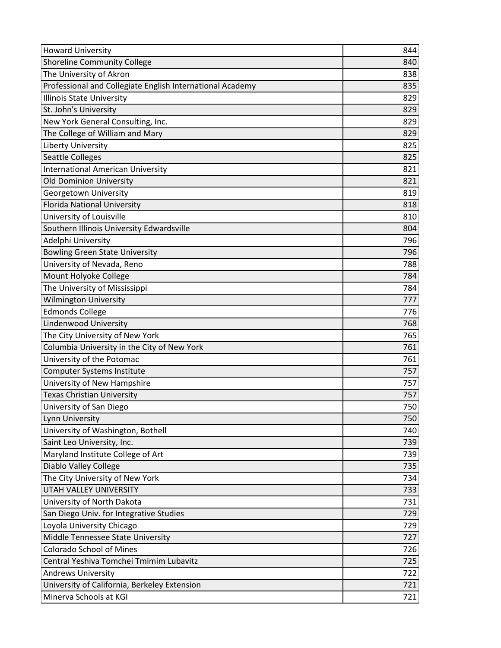| <b>Howard University</b>                                  | 844 |
|-----------------------------------------------------------|-----|
| <b>Shoreline Community College</b>                        | 840 |
| The University of Akron                                   | 838 |
| Professional and Collegiate English International Academy | 835 |
| Illinois State University                                 | 829 |
| St. John's University                                     | 829 |
| New York General Consulting, Inc.                         | 829 |
| The College of William and Mary                           | 829 |
| Liberty University                                        | 825 |
| <b>Seattle Colleges</b>                                   | 825 |
| <b>International American University</b>                  | 821 |
| <b>Old Dominion University</b>                            | 821 |
| Georgetown University                                     | 819 |
| <b>Florida National University</b>                        | 818 |
| University of Louisville                                  | 810 |
| Southern Illinois University Edwardsville                 | 804 |
| Adelphi University                                        | 796 |
| <b>Bowling Green State University</b>                     | 796 |
| University of Nevada, Reno                                | 788 |
| Mount Holyoke College                                     | 784 |
| The University of Mississippi                             | 784 |
| <b>Wilmington University</b>                              | 777 |
| <b>Edmonds College</b>                                    | 776 |
| Lindenwood University                                     | 768 |
| The City University of New York                           | 765 |
| Columbia University in the City of New York               | 761 |
| University of the Potomac                                 | 761 |
| <b>Computer Systems Institute</b>                         | 757 |
| University of New Hampshire                               | 757 |
| <b>Texas Christian University</b>                         | 757 |
| University of San Diego                                   | 750 |
| Lynn University                                           | 750 |
| University of Washington, Bothell                         | 740 |
| Saint Leo University, Inc.                                | 739 |
| Maryland Institute College of Art                         | 739 |
| <b>Diablo Valley College</b>                              | 735 |
| The City University of New York                           | 734 |
| <b>UTAH VALLEY UNIVERSITY</b>                             | 733 |
| University of North Dakota                                | 731 |
| San Diego Univ. for Integrative Studies                   | 729 |
| Loyola University Chicago                                 | 729 |
| Middle Tennessee State University                         | 727 |
| <b>Colorado School of Mines</b>                           | 726 |
| Central Yeshiva Tomchei Tmimim Lubavitz                   | 725 |
| <b>Andrews University</b>                                 | 722 |
| University of California, Berkeley Extension              | 721 |
| Minerva Schools at KGI                                    | 721 |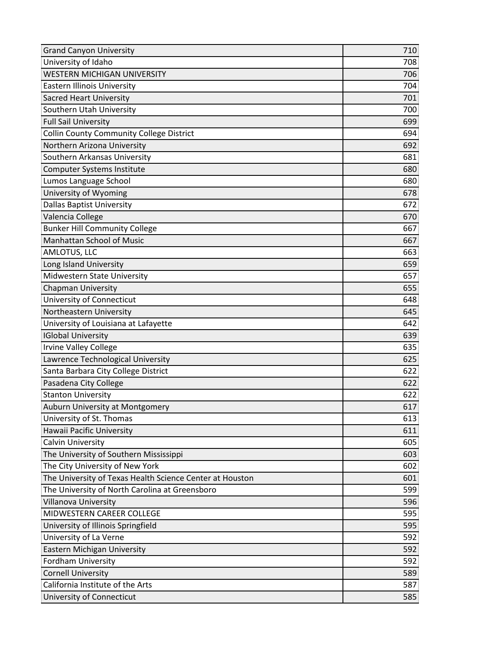| <b>Grand Canyon University</b>                           | 710 |
|----------------------------------------------------------|-----|
| University of Idaho                                      | 708 |
| <b>WESTERN MICHIGAN UNIVERSITY</b>                       | 706 |
| <b>Eastern Illinois University</b>                       | 704 |
| <b>Sacred Heart University</b>                           | 701 |
| Southern Utah University                                 | 700 |
| <b>Full Sail University</b>                              | 699 |
| <b>Collin County Community College District</b>          | 694 |
| Northern Arizona University                              | 692 |
| Southern Arkansas University                             | 681 |
| <b>Computer Systems Institute</b>                        | 680 |
| Lumos Language School                                    | 680 |
| University of Wyoming                                    | 678 |
| <b>Dallas Baptist University</b>                         | 672 |
| Valencia College                                         | 670 |
| <b>Bunker Hill Community College</b>                     | 667 |
| <b>Manhattan School of Music</b>                         | 667 |
| AMLOTUS, LLC                                             | 663 |
| Long Island University                                   | 659 |
| Midwestern State University                              | 657 |
| <b>Chapman University</b>                                | 655 |
| University of Connecticut                                | 648 |
| Northeastern University                                  | 645 |
| University of Louisiana at Lafayette                     | 642 |
| <b>IGlobal University</b>                                | 639 |
| <b>Irvine Valley College</b>                             | 635 |
| Lawrence Technological University                        | 625 |
| Santa Barbara City College District                      | 622 |
| Pasadena City College                                    | 622 |
| <b>Stanton University</b>                                | 622 |
| Auburn University at Montgomery                          | 617 |
| University of St. Thomas                                 | 613 |
| Hawaii Pacific University                                | 611 |
| <b>Calvin University</b>                                 | 605 |
| The University of Southern Mississippi                   | 603 |
| The City University of New York                          | 602 |
| The University of Texas Health Science Center at Houston | 601 |
| The University of North Carolina at Greensboro           | 599 |
| Villanova University                                     | 596 |
| MIDWESTERN CAREER COLLEGE                                | 595 |
| University of Illinois Springfield                       | 595 |
| University of La Verne                                   | 592 |
| Eastern Michigan University                              | 592 |
| Fordham University                                       | 592 |
| <b>Cornell University</b>                                | 589 |
| California Institute of the Arts                         | 587 |
| University of Connecticut                                | 585 |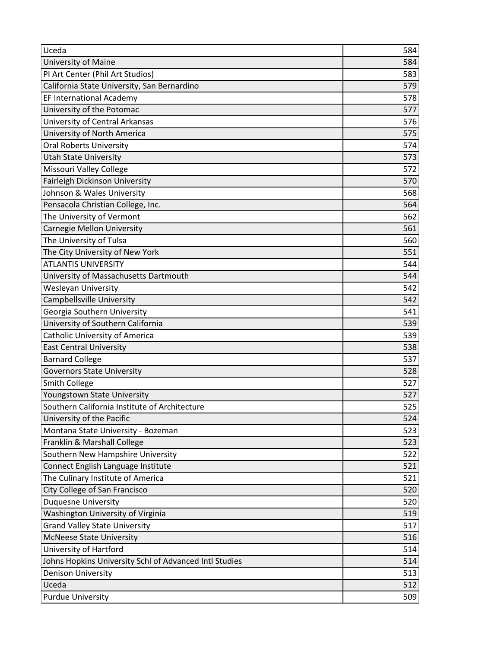| Uceda                                                  | 584 |
|--------------------------------------------------------|-----|
| University of Maine                                    | 584 |
| PI Art Center (Phil Art Studios)                       | 583 |
| California State University, San Bernardino            | 579 |
| <b>EF International Academy</b>                        | 578 |
| University of the Potomac                              | 577 |
| University of Central Arkansas                         | 576 |
| University of North America                            | 575 |
| <b>Oral Roberts University</b>                         | 574 |
| <b>Utah State University</b>                           | 573 |
| Missouri Valley College                                | 572 |
| Fairleigh Dickinson University                         | 570 |
| Johnson & Wales University                             | 568 |
| Pensacola Christian College, Inc.                      | 564 |
| The University of Vermont                              | 562 |
| <b>Carnegie Mellon University</b>                      | 561 |
| The University of Tulsa                                | 560 |
| The City University of New York                        | 551 |
| <b>ATLANTIS UNIVERSITY</b>                             | 544 |
| University of Massachusetts Dartmouth                  | 544 |
| <b>Wesleyan University</b>                             | 542 |
| Campbellsville University                              | 542 |
| Georgia Southern University                            | 541 |
| University of Southern California                      | 539 |
| Catholic University of America                         | 539 |
| <b>East Central University</b>                         | 538 |
| <b>Barnard College</b>                                 | 537 |
| <b>Governors State University</b>                      | 528 |
| Smith College                                          | 527 |
| Youngstown State University                            | 527 |
| Southern California Institute of Architecture          | 525 |
| University of the Pacific                              | 524 |
| Montana State University - Bozeman                     | 523 |
| Franklin & Marshall College                            | 523 |
| Southern New Hampshire University                      | 522 |
| Connect English Language Institute                     | 521 |
| The Culinary Institute of America                      | 521 |
| City College of San Francisco                          | 520 |
| <b>Duquesne University</b>                             | 520 |
| Washington University of Virginia                      | 519 |
| <b>Grand Valley State University</b>                   | 517 |
| <b>McNeese State University</b>                        | 516 |
| University of Hartford                                 | 514 |
| Johns Hopkins University Schl of Advanced Intl Studies | 514 |
| <b>Denison University</b>                              | 513 |
| Uceda                                                  | 512 |
| <b>Purdue University</b>                               | 509 |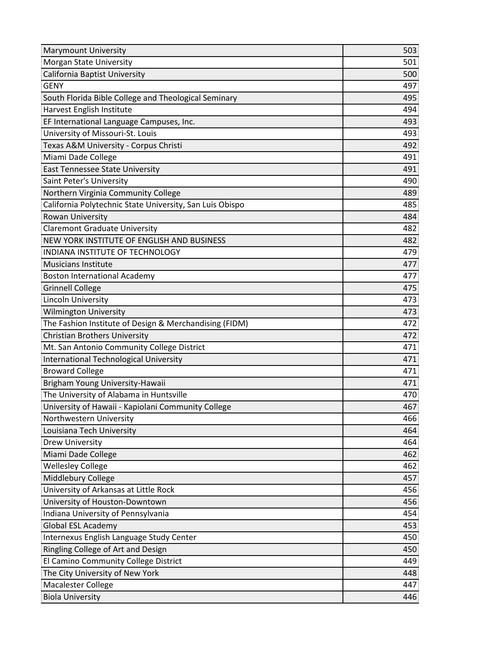| <b>Marymount University</b>                              | 503 |
|----------------------------------------------------------|-----|
| Morgan State University                                  | 501 |
| California Baptist University                            | 500 |
| <b>GENY</b>                                              | 497 |
| South Florida Bible College and Theological Seminary     | 495 |
| Harvest English Institute                                | 494 |
| EF International Language Campuses, Inc.                 | 493 |
| University of Missouri-St. Louis                         | 493 |
| Texas A&M University - Corpus Christi                    | 492 |
| Miami Dade College                                       | 491 |
| East Tennessee State University                          | 491 |
| Saint Peter's University                                 | 490 |
| Northern Virginia Community College                      | 489 |
| California Polytechnic State University, San Luis Obispo | 485 |
| <b>Rowan University</b>                                  | 484 |
| <b>Claremont Graduate University</b>                     | 482 |
| NEW YORK INSTITUTE OF ENGLISH AND BUSINESS               | 482 |
| INDIANA INSTITUTE OF TECHNOLOGY                          | 479 |
| <b>Musicians Institute</b>                               | 477 |
| <b>Boston International Academy</b>                      | 477 |
| <b>Grinnell College</b>                                  | 475 |
| Lincoln University                                       | 473 |
| <b>Wilmington University</b>                             | 473 |
| The Fashion Institute of Design & Merchandising (FIDM)   | 472 |
| <b>Christian Brothers University</b>                     | 472 |
| Mt. San Antonio Community College District               | 471 |
| International Technological University                   | 471 |
| <b>Broward College</b>                                   | 471 |
| Brigham Young University-Hawaii                          | 471 |
| The University of Alabama in Huntsville                  | 470 |
| University of Hawaii - Kapiolani Community College       | 467 |
| Northwestern University                                  | 466 |
| Louisiana Tech University                                | 464 |
| <b>Drew University</b>                                   | 464 |
| Miami Dade College                                       | 462 |
| <b>Wellesley College</b>                                 | 462 |
| Middlebury College                                       | 457 |
| University of Arkansas at Little Rock                    | 456 |
| University of Houston-Downtown                           | 456 |
| Indiana University of Pennsylvania                       | 454 |
| <b>Global ESL Academy</b>                                | 453 |
| Internexus English Language Study Center                 | 450 |
| Ringling College of Art and Design                       | 450 |
| El Camino Community College District                     | 449 |
| The City University of New York                          | 448 |
| Macalester College                                       | 447 |
| <b>Biola University</b>                                  | 446 |